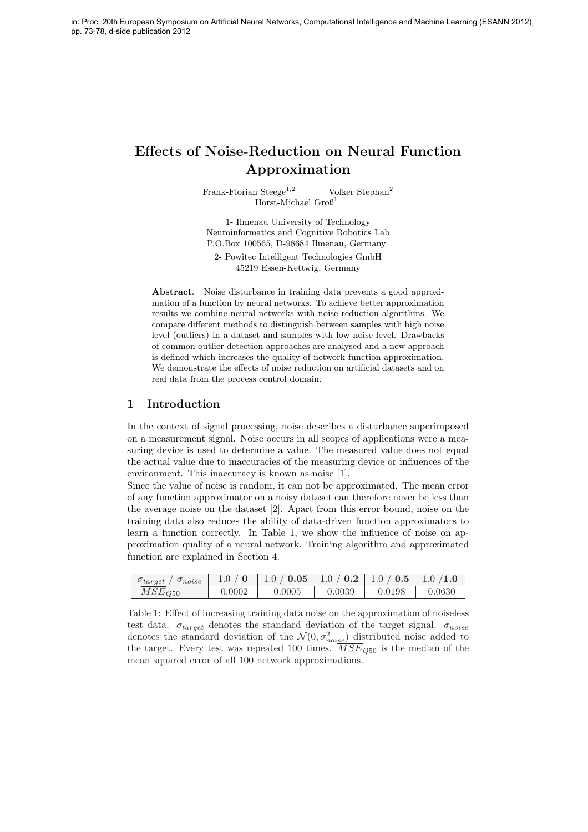# Effects of Noise-Reduction on Neural Function Approximation

Frank-Florian Steege<sup>1,2</sup> Volker Stephan<sup>2</sup> Horst-Michael Groß<sup>1</sup>

1- Ilmenau University of Technology Neuroinformatics and Cognitive Robotics Lab P.O.Box 100565, D-98684 Ilmenau, Germany 2- Powitec Intelligent Technologies GmbH

45219 Essen-Kettwig, Germany

Abstract. Noise disturbance in training data prevents a good approximation of a function by neural networks. To achieve better approximation results we combine neural networks with noise reduction algorithms. We compare different methods to distinguish between samples with high noise level (outliers) in a dataset and samples with low noise level. Drawbacks of common outlier detection approaches are analysed and a new approach is defined which increases the quality of network function approximation. We demonstrate the effects of noise reduction on artificial datasets and on real data from the process control domain.

# 1 Introduction

In the context of signal processing, noise describes a disturbance superimposed on a measurement signal. Noise occurs in all scopes of applications were a measuring device is used to determine a value. The measured value does not equal the actual value due to inaccuracies of the measuring device or influences of the environment. This inaccuracy is known as noise [1].

Since the value of noise is random, it can not be approximated. The mean error of any function approximator on a noisy dataset can therefore never be less than the average noise on the dataset [2]. Apart from this error bound, noise on the training data also reduces the ability of data-driven function approximators to learn a function correctly. In Table 1, we show the influence of noise on approximation quality of a neural network. Training algorithm and approximated function are explained in Section 4.

| $\sigma_{target}$ / $\sigma_{noise}$ | 1.0 / 0 | $\vert$ 1.0 / <b>0.05</b> $\vert$ 1.0 / <b>0.2</b> $\vert$ 1.0 / <b>0.5</b> $\vert$ 1.0 /1.0 |        |        |        |
|--------------------------------------|---------|----------------------------------------------------------------------------------------------|--------|--------|--------|
| $MSE_{Q50}$                          | 0.0002  | 0.0005                                                                                       | 0.0039 | 0.0198 | 0.0630 |

Table 1: Effect of increasing training data noise on the approximation of noiseless test data.  $\sigma_{target}$  denotes the standard deviation of the target signal.  $\sigma_{noise}$ denotes the standard deviation of the  $\mathcal{N}(0, \sigma_{noise}^2)$  distributed noise added to the target. Every test was repeated 100 times.  $\overline{MSE}_{Q50}$  is the median of the mean squared error of all 100 network approximations.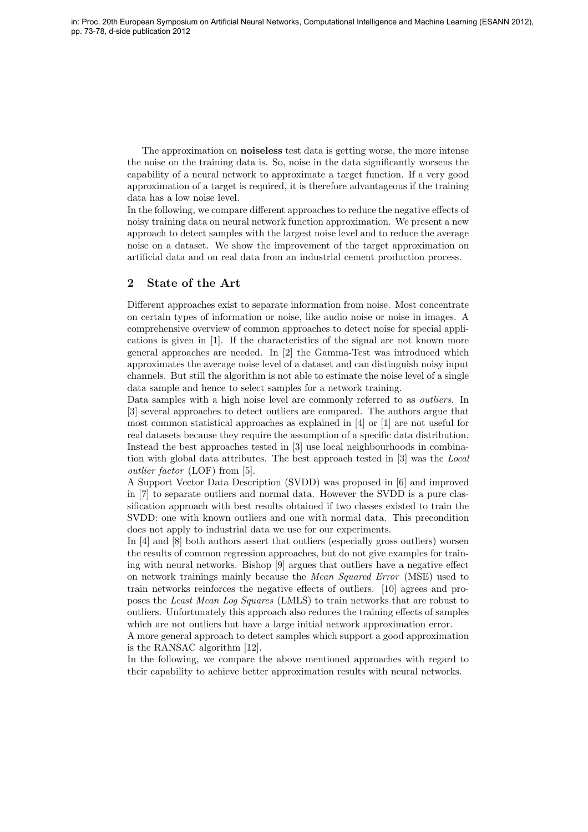The approximation on noiseless test data is getting worse, the more intense the noise on the training data is. So, noise in the data significantly worsens the capability of a neural network to approximate a target function. If a very good approximation of a target is required, it is therefore advantageous if the training data has a low noise level.

In the following, we compare different approaches to reduce the negative effects of noisy training data on neural network function approximation. We present a new approach to detect samples with the largest noise level and to reduce the average noise on a dataset. We show the improvement of the target approximation on artificial data and on real data from an industrial cement production process.

## 2 State of the Art

Different approaches exist to separate information from noise. Most concentrate on certain types of information or noise, like audio noise or noise in images. A comprehensive overview of common approaches to detect noise for special applications is given in [1]. If the characteristics of the signal are not known more general approaches are needed. In [2] the Gamma-Test was introduced which approximates the average noise level of a dataset and can distinguish noisy input channels. But still the algorithm is not able to estimate the noise level of a single data sample and hence to select samples for a network training.

Data samples with a high noise level are commonly referred to as *outliers*. In [3] several approaches to detect outliers are compared. The authors argue that most common statistical approaches as explained in  $[4]$  or  $[1]$  are not useful for real datasets because they require the assumption of a specific data distribution. Instead the best approaches tested in [3] use local neighbourhoods in combination with global data attributes. The best approach tested in [3] was the Local outlier factor (LOF) from [5].

A Support Vector Data Description (SVDD) was proposed in [6] and improved in [7] to separate outliers and normal data. However the SVDD is a pure classification approach with best results obtained if two classes existed to train the SVDD: one with known outliers and one with normal data. This precondition does not apply to industrial data we use for our experiments.

In [4] and [8] both authors assert that outliers (especially gross outliers) worsen the results of common regression approaches, but do not give examples for training with neural networks. Bishop [9] argues that outliers have a negative effect on network trainings mainly because the Mean Squared Error (MSE) used to train networks reinforces the negative effects of outliers. [10] agrees and proposes the Least Mean Log Squares (LMLS) to train networks that are robust to outliers. Unfortunately this approach also reduces the training effects of samples which are not outliers but have a large initial network approximation error.

A more general approach to detect samples which support a good approximation is the RANSAC algorithm [12].

In the following, we compare the above mentioned approaches with regard to their capability to achieve better approximation results with neural networks.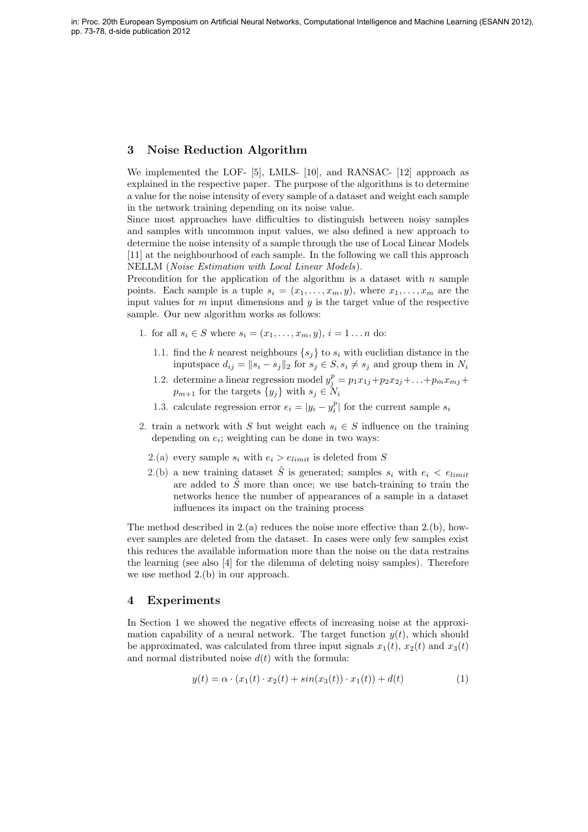### 3 Noise Reduction Algorithm

We implemented the LOF- [5], LMLS- [10], and RANSAC- [12] approach as explained in the respective paper. The purpose of the algorithms is to determine a value for the noise intensity of every sample of a dataset and weight each sample in the network training depending on its noise value.

Since most approaches have difficulties to distinguish between noisy samples and samples with uncommon input values, we also defined a new approach to determine the noise intensity of a sample through the use of Local Linear Models [11] at the neighbourhood of each sample. In the following we call this approach NELLM (Noise Estimation with Local Linear Models).

Precondition for the application of the algorithm is a dataset with  $n$  sample points. Each sample is a tuple  $s_i = (x_1, \ldots, x_m, y)$ , where  $x_1, \ldots, x_m$  are the input values for  $m$  input dimensions and  $y$  is the target value of the respective sample. Our new algorithm works as follows:

- 1. for all  $s_i \in S$  where  $s_i = (x_1, \ldots, x_m, y), i = 1 \ldots n$  do:
	- 1.1. find the k nearest neighbours  $\{s_i\}$  to  $s_i$  with euclidian distance in the inputspace  $d_{ij} = ||s_i - s_j||_2$  for  $s_j \in S, s_i \neq s_j$  and group them in  $N_i$
	- 1.2. determine a linear regression model  $y_j^p = p_1x_{1j} + p_2x_{2j} + \ldots + p_mx_{mj} +$  $p_{m+1}$  for the targets  $\{y_j\}$  with  $s_j \in N_i$
	- 1.3. calculate regression error  $e_i = |y_i y_i^p|$  for the current sample  $s_i$
- 2. train a network with S but weight each  $s_i \in S$  influence on the training depending on  $e_i$ ; weighting can be done in two ways:
	- 2.(a) every sample  $s_i$  with  $e_i > e_{limit}$  is deleted from S
	- 2.(b) a new training dataset  $\tilde{S}$  is generated; samples  $s_i$  with  $e_i < e_{limit}$ are added to  $\tilde{S}$  more than once; we use batch-training to train the networks hence the number of appearances of a sample in a dataset influences its impact on the training process

The method described in  $2(a)$  reduces the noise more effective than  $2(b)$ , however samples are deleted from the dataset. In cases were only few samples exist this reduces the available information more than the noise on the data restrains the learning (see also [4] for the dilemma of deleting noisy samples). Therefore we use method 2.(b) in our approach.

#### 4 Experiments

In Section 1 we showed the negative effects of increasing noise at the approximation capability of a neural network. The target function  $y(t)$ , which should be approximated, was calculated from three input signals  $x_1(t)$ ,  $x_2(t)$  and  $x_3(t)$ and normal distributed noise  $d(t)$  with the formula:

$$
y(t) = \alpha \cdot (x_1(t) \cdot x_2(t) + \sin(x_3(t)) \cdot x_1(t)) + d(t)
$$
\n(1)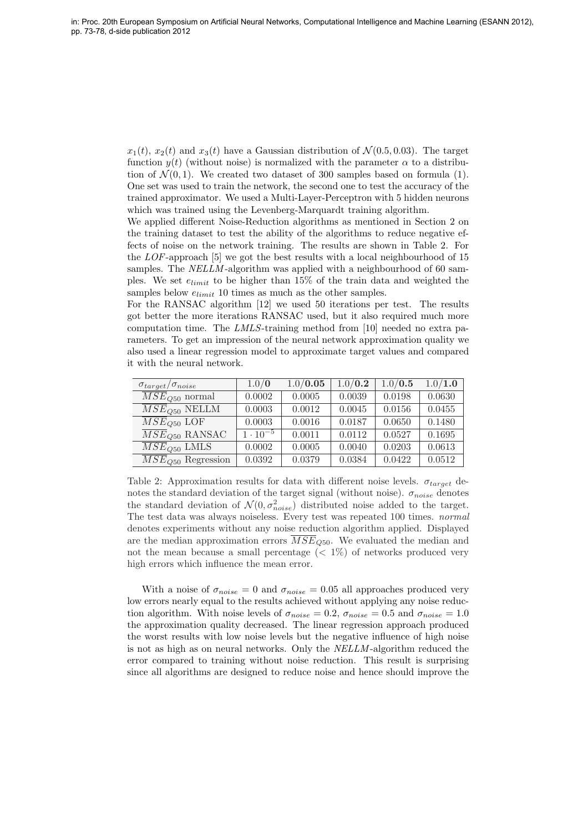$x_1(t)$ ,  $x_2(t)$  and  $x_3(t)$  have a Gaussian distribution of  $\mathcal{N}(0.5, 0.03)$ . The target function  $y(t)$  (without noise) is normalized with the parameter  $\alpha$  to a distribution of  $\mathcal{N}(0, 1)$ . We created two dataset of 300 samples based on formula (1). One set was used to train the network, the second one to test the accuracy of the trained approximator. We used a Multi-Layer-Perceptron with 5 hidden neurons which was trained using the Levenberg-Marquardt training algorithm.

We applied different Noise-Reduction algorithms as mentioned in Section 2 on the training dataset to test the ability of the algorithms to reduce negative effects of noise on the network training. The results are shown in Table 2. For the LOF-approach [5] we got the best results with a local neighbourhood of 15 samples. The *NELLM*-algorithm was applied with a neighbourhood of 60 samples. We set  $e_{limit}$  to be higher than 15% of the train data and weighted the samples below  $e_{limit}$  10 times as much as the other samples.

For the RANSAC algorithm [12] we used 50 iterations per test. The results got better the more iterations RANSAC used, but it also required much more computation time. The LMLS-training method from [10] needed no extra parameters. To get an impression of the neural network approximation quality we also used a linear regression model to approximate target values and compared it with the neural network.

| $\sigma_{target}/\sigma_{noise}$ | 1.0/0             | 1.0 / 0.05 | 1.0 / 0.2 | 1.0 / 0.5 | 1.0 / 1.0 |
|----------------------------------|-------------------|------------|-----------|-----------|-----------|
| $\overline{MSE}_{O50}$ normal    | 0.0002            | 0.0005     | 0.0039    | 0.0198    | 0.0630    |
| $\overline{MSE}_{Q50}$ NELLM     | 0.0003            | 0.0012     | 0.0045    | 0.0156    | 0.0455    |
| $\overline{MSE}_{O50}$ LOF       | 0.0003            | 0.0016     | 0.0187    | 0.0650    | 0.1480    |
| $\overline{MSE}_{O50}$ RANSAC    | $1 \cdot 10^{-5}$ | 0.0011     | 0.0112    | 0.0527    | 0.1695    |
| $\overline{MSE}_{Q50}$ LMLS      | 0.0002            | 0.0005     | 0.0040    | 0.0203    | 0.0613    |
| $MSE_{Q50}$ Regression           | 0.0392            | 0.0379     | 0.0384    | 0.0422    | 0.0512    |

Table 2: Approximation results for data with different noise levels.  $\sigma_{target}$  denotes the standard deviation of the target signal (without noise).  $\sigma_{noise}$  denotes the standard deviation of  $\mathcal{N}(0, \sigma_{noise}^2)$  distributed noise added to the target. The test data was always noiseless. Every test was repeated 100 times. normal denotes experiments without any noise reduction algorithm applied. Displayed are the median approximation errors  $\overline{MSE}_{Q50}$ . We evaluated the median and not the mean because a small percentage  $(< 1\%)$  of networks produced very high errors which influence the mean error.

With a noise of  $\sigma_{noise} = 0$  and  $\sigma_{noise} = 0.05$  all approaches produced very low errors nearly equal to the results achieved without applying any noise reduction algorithm. With noise levels of  $\sigma_{noise} = 0.2$ ,  $\sigma_{noise} = 0.5$  and  $\sigma_{noise} = 1.0$ the approximation quality decreased. The linear regression approach produced the worst results with low noise levels but the negative influence of high noise is not as high as on neural networks. Only the NELLM -algorithm reduced the error compared to training without noise reduction. This result is surprising since all algorithms are designed to reduce noise and hence should improve the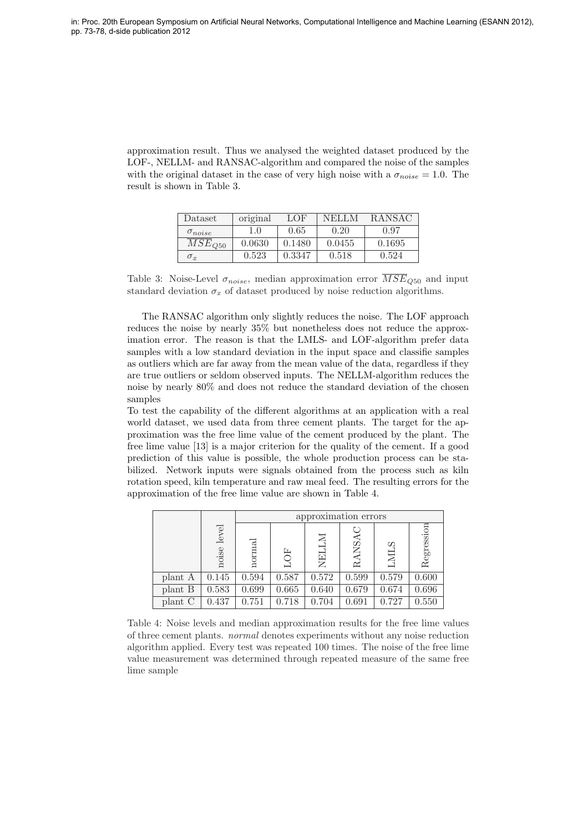approximation result. Thus we analysed the weighted dataset produced by the LOF-, NELLM- and RANSAC-algorithm and compared the noise of the samples with the original dataset in the case of very high noise with a  $\sigma_{noise} = 1.0$ . The result is shown in Table 3.

| Dataset                | original | LOF    | NELLM  | <b>RANSAC</b> |
|------------------------|----------|--------|--------|---------------|
| $\sigma_{noise}$       | 1.0      | 0.65   | 0.20   | 0.97          |
| $\overline{M}SE_{Q50}$ | 0.0630   | 0.1480 | 0.0455 | 0.1695        |
| $\sigma_x$             | 0.523    | 0.3347 | 0.518  | 0.524         |

Table 3: Noise-Level  $\sigma_{noise}$ , median approximation error  $\overline{MSE}_{O50}$  and input standard deviation  $\sigma_x$  of dataset produced by noise reduction algorithms.

The RANSAC algorithm only slightly reduces the noise. The LOF approach reduces the noise by nearly 35% but nonetheless does not reduce the approximation error. The reason is that the LMLS- and LOF-algorithm prefer data samples with a low standard deviation in the input space and classifie samples as outliers which are far away from the mean value of the data, regardless if they are true outliers or seldom observed inputs. The NELLM-algorithm reduces the noise by nearly 80% and does not reduce the standard deviation of the chosen samples

To test the capability of the different algorithms at an application with a real world dataset, we used data from three cement plants. The target for the approximation was the free lime value of the cement produced by the plant. The free lime value [13] is a major criterion for the quality of the cement. If a good prediction of this value is possible, the whole production process can be stabilized. Network inputs were signals obtained from the process such as kiln rotation speed, kiln temperature and raw meal feed. The resulting errors for the approximation of the free lime value are shown in Table 4.

|         |                | approximation errors |       |            |       |           |            |
|---------|----------------|----------------------|-------|------------|-------|-----------|------------|
|         | level<br>noise | normal               | 只     | N.<br>NELI | RANSA | Ωć<br>LMI | Regression |
| plant A | 0.145          | 0.594                | 0.587 | 0.572      | 0.599 | 0.579     | 0.600      |
| plant B | 0.583          | 0.699                | 0.665 | 0.640      | 0.679 | 0.674     | 0.696      |
| plant C | 0.437          | 0.751                | 0.718 | 0.704      | 0.691 | 0.727     | 0.550      |

Table 4: Noise levels and median approximation results for the free lime values of three cement plants. normal denotes experiments without any noise reduction algorithm applied. Every test was repeated 100 times. The noise of the free lime value measurement was determined through repeated measure of the same free lime sample